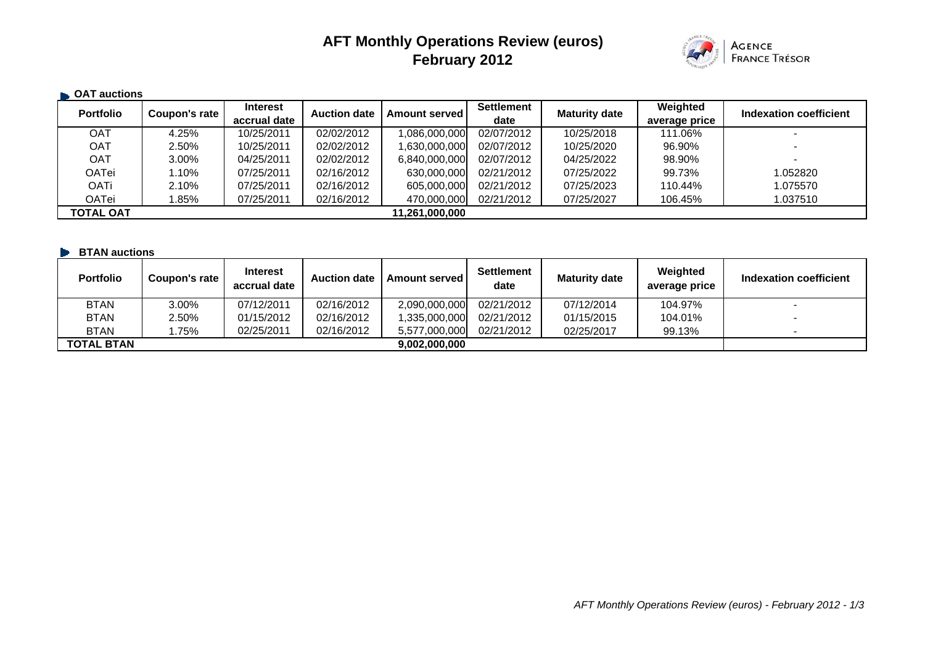# **AFT Monthly Operations Review (euros) February 2012**



| <b>CAT auctions</b> |                      |                                 |                     |                      |                           |                      |                           |                          |
|---------------------|----------------------|---------------------------------|---------------------|----------------------|---------------------------|----------------------|---------------------------|--------------------------|
| <b>Portfolio</b>    | <b>Coupon's rate</b> | <b>Interest</b><br>accrual date | <b>Auction date</b> | <b>Amount served</b> | <b>Settlement</b><br>date | <b>Maturity date</b> | Weighted<br>average price | Indexation coefficient   |
| OAT                 | 4.25%                | 10/25/2011                      | 02/02/2012          | 1,086,000,000        | 02/07/2012                | 10/25/2018           | 111.06%                   |                          |
| <b>OAT</b>          | 2.50%                | 10/25/2011                      | 02/02/2012          | 1,630,000,000        | 02/07/2012                | 10/25/2020           | 96.90%                    |                          |
| <b>OAT</b>          | 3.00%                | 04/25/2011                      | 02/02/2012          | 6,840,000,000        | 02/07/2012                | 04/25/2022           | 98.90%                    | $\overline{\phantom{0}}$ |
| OATei               | l.10%                | 07/25/2011                      | 02/16/2012          | 630,000,000          | 02/21/2012                | 07/25/2022           | 99.73%                    | 1.052820                 |
| OATi                | 2.10%                | 07/25/2011                      | 02/16/2012          | 605,000,000          | 02/21/2012                | 07/25/2023           | 110.44%                   | 1.075570                 |
| OATei               | $.85\%$              | 07/25/2011                      | 02/16/2012          | 470,000,000          | 02/21/2012                | 07/25/2027           | 106.45%                   | 1.037510                 |
| <b>TOTAL OAT</b>    |                      |                                 |                     | 11,261,000,000       |                           |                      |                           |                          |

| <b>BTAN auctions</b> |               |                                 |                     |                 |                           |                      |                           |                          |
|----------------------|---------------|---------------------------------|---------------------|-----------------|---------------------------|----------------------|---------------------------|--------------------------|
| <b>Portfolio</b>     | Coupon's rate | <b>Interest</b><br>accrual date | <b>Auction date</b> | Amount served I | <b>Settlement</b><br>date | <b>Maturity date</b> | Weighted<br>average price | Indexation coefficient   |
| <b>BTAN</b>          | 3.00%         | 07/12/2011                      | 02/16/2012          | 2,090,000,000   | 02/21/2012                | 07/12/2014           | 104.97%                   | $\overline{\phantom{a}}$ |
| <b>BTAN</b>          | 2.50%         | 01/15/2012                      | 02/16/2012          | ,335,000,000    | 02/21/2012                | 01/15/2015           | 104.01%                   | $\overline{\phantom{a}}$ |
| <b>BTAN</b>          | .75%          | 02/25/2011                      | 02/16/2012          | 5,577,000,000   | 02/21/2012                | 02/25/2017           | 99.13%                    |                          |
| <b>TOTAL BTAN</b>    |               |                                 |                     | 9.002.000.000   |                           |                      |                           |                          |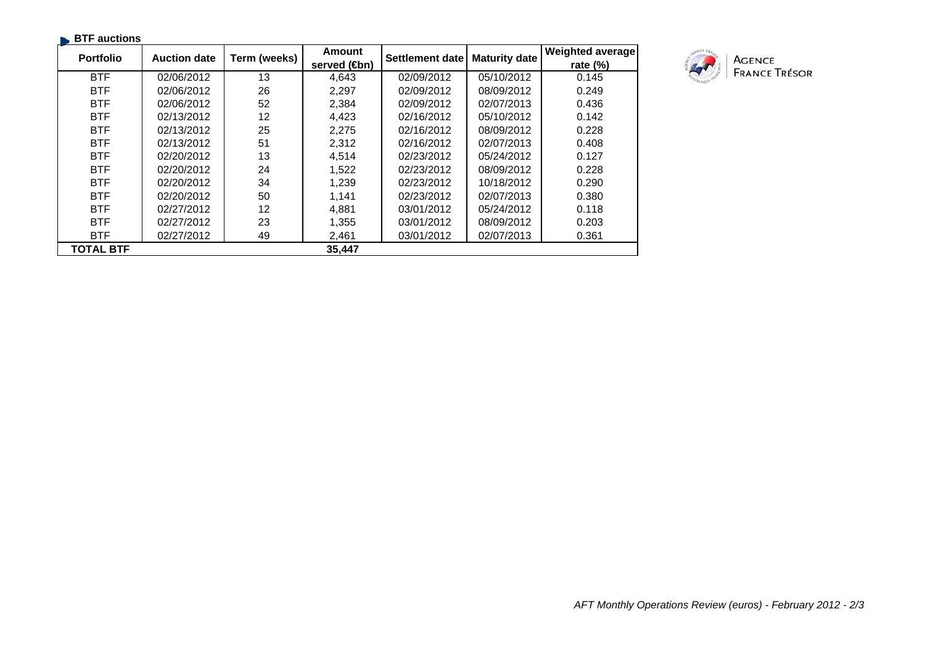| <b>BTF</b> auctions |                     |              |                       |                 |                      |                  |
|---------------------|---------------------|--------------|-----------------------|-----------------|----------------------|------------------|
| <b>Portfolio</b>    | <b>Auction date</b> | Term (weeks) | Amount                | Settlement date | <b>Maturity date</b> | Weighted average |
|                     |                     |              | served ( <b>4</b> bn) |                 |                      | rate $(\%)$      |
| <b>BTF</b>          | 02/06/2012          | 13           | 4,643                 | 02/09/2012      | 05/10/2012           | 0.145            |
| <b>BTF</b>          | 02/06/2012          | 26           | 2,297                 | 02/09/2012      | 08/09/2012           | 0.249            |
| <b>BTF</b>          | 02/06/2012          | 52           | 2,384                 | 02/09/2012      | 02/07/2013           | 0.436            |
| <b>BTF</b>          | 02/13/2012          | 12           | 4,423                 | 02/16/2012      | 05/10/2012           | 0.142            |
| <b>BTF</b>          | 02/13/2012          | 25           | 2,275                 | 02/16/2012      | 08/09/2012           | 0.228            |
| <b>BTF</b>          | 02/13/2012          | 51           | 2,312                 | 02/16/2012      | 02/07/2013           | 0.408            |
| <b>BTF</b>          | 02/20/2012          | 13           | 4,514                 | 02/23/2012      | 05/24/2012           | 0.127            |
| <b>BTF</b>          | 02/20/2012          | 24           | 1,522                 | 02/23/2012      | 08/09/2012           | 0.228            |
| <b>BTF</b>          | 02/20/2012          | 34           | 1,239                 | 02/23/2012      | 10/18/2012           | 0.290            |
| <b>BTF</b>          | 02/20/2012          | 50           | 1,141                 | 02/23/2012      | 02/07/2013           | 0.380            |
| <b>BTF</b>          | 02/27/2012          | 12           | 4,881                 | 03/01/2012      | 05/24/2012           | 0.118            |
| <b>BTF</b>          | 02/27/2012          | 23           | 1,355                 | 03/01/2012      | 08/09/2012           | 0.203            |
| <b>BTF</b>          | 02/27/2012          | 49           | 2,461                 | 03/01/2012      | 02/07/2013           | 0.361            |
| <b>TOTAL BTF</b>    |                     |              | 35,447                |                 |                      |                  |